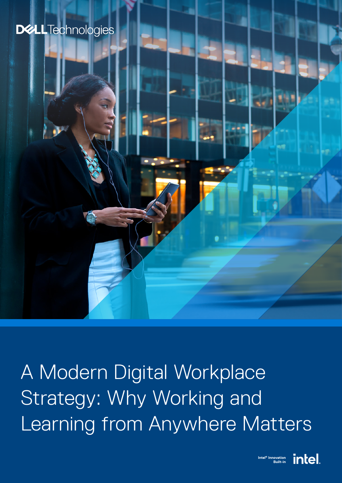# **DELL**Technologies





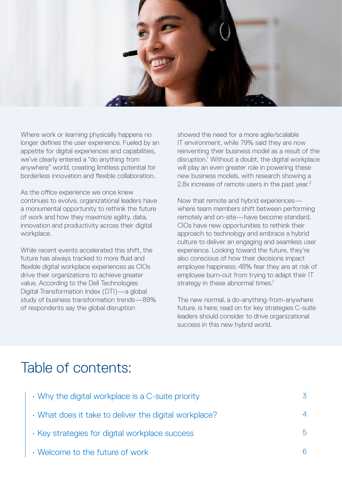

Where work or learning physically happens no longer defines the user experience. Fueled by an appetite for digital experiences and capabilities, we've clearly entered a "do anything from anywhere" world, creating limitless potential for borderless innovation and flexible collaboration.

As the office experience we once knew continues to evolve, organizational leaders have a monumental opportunity to rethink the future of work and how they maximize agility, data, innovation and productivity across their digital workplace.

While recent events accelerated this shift, the future has always tracked to more fluid and flexible digital workplace experiences as CIOs drive their organizations to achieve greater value. According to the Dell Technologies Digital Transformation Index (DTI)—a global study of business transformation trends—89% of respondents say the global disruption

showed the need for a more agile/scalable IT environment, while 79% said they are now reinventing their business model as a result of the disruption.<sup>1</sup> Without a doubt, the digital workplace will play an even greater role in powering these new business models, with research showing a 2.8x increase of remote users in the past year.<sup>2</sup>

Now that remote and hybrid experiences where team members shift between performing remotely and on-site—have become standard, CIOs have new opportunities to rethink their approach to technology and embrace a hybrid culture to deliver an engaging and seamless user experience. Looking toward the future, they're also conscious of how their decisions impact employee happiness: 48% fear they are at risk of employee burn-out from trying to adapt their IT strategy in these abnormal times.<sup>1</sup>

The new normal, a do-anything-from-anywhere future, is here; read on for key strategies C-suite leaders should consider to drive organizational success in this new hybrid world.

# Table of contents:

| • Why the digital workplace is a C-suite priority     | 3  |
|-------------------------------------------------------|----|
| • What does it take to deliver the digital workplace? |    |
| · Key strategies for digital workplace success        | 5. |
| • Welcome to the future of work                       |    |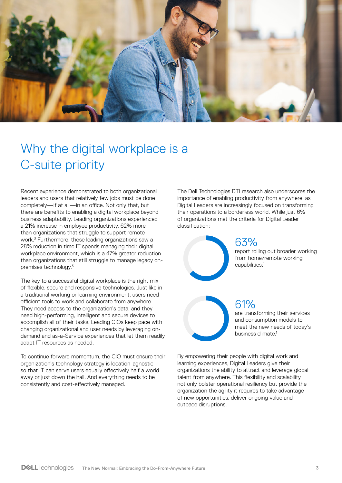<span id="page-2-0"></span>

# Why the digital workplace is a C-suite priority

Recent experience demonstrated to both organizational leaders and users that relatively few jobs must be done completely—if at all—in an office. Not only that, but there are benefits to enabling a digital workplace beyond business adaptability. Leading organizations experienced a 21% increase in employee productivity, 62% more than organizations that struggle to support remote work.3 Furthermore, these leading organizations saw a 28% reduction in time IT spends managing their digital workplace environment, which is a 47% greater reduction than organizations that still struggle to manage legacy onpremises technology.3

The key to a successful digital workplace is the right mix of flexible, secure and responsive technologies. Just like in a traditional working or learning environment, users need efficient tools to work and collaborate from anywhere. They need access to the organization's data, and they need high-performing, intelligent and secure devices to accomplish all of their tasks. Leading CIOs keep pace with changing organizational and user needs by leveraging ondemand and as-a-Service experiences that let them readily adapt IT resources as needed.

To continue forward momentum, the CIO must ensure their organization's technology strategy is location-agnostic so that IT can serve users equally effectively half a world away or just down the hall. And everything needs to be consistently and cost-effectively managed.

The Dell Technologies DTI research also underscores the importance of enabling productivity from anywhere, as Digital Leaders are increasingly focused on transforming their operations to a borderless world. While just 6% of organizations met the criteria for Digital Leader classification:

> 63% report rolling out broader working from home/remote working capabilities;<sup>1</sup>

61% are transforming their services and consumption models to meet the new needs of today's

business climate.<sup>1</sup>

By empowering their people with digital work and learning experiences, Digital Leaders give their organizations the ability to attract and leverage global talent from anywhere. This flexibility and scalability not only bolster operational resiliency but provide the organization the agility it requires to take advantage of new opportunities, deliver ongoing value and outpace disruptions.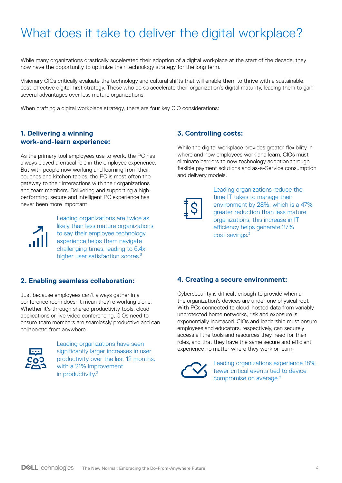# <span id="page-3-0"></span>What does it take to deliver the digital workplace?

While many organizations drastically accelerated their adoption of a digital workplace at the start of the decade, they now have the opportunity to optimize their technology strategy for the long term.

Visionary CIOs critically evaluate the technology and cultural shifts that will enable them to thrive with a sustainable, cost-effective digital-first strategy. Those who do so accelerate their organization's digital maturity, leading them to gain several advantages over less mature organizations.

When crafting a digital workplace strategy, there are four key CIO considerations:

### **1. Delivering a winning work-and-learn experience:**

As the primary tool employees use to work, the PC has always played a critical role in the employee experience. But with people now working and learning from their couches and kitchen tables, the PC is most often the gateway to their interactions with their organizations and team members. Delivering and supporting a highperforming, secure and intelligent PC experience has never been more important.



Leading organizations are twice as likely than less mature organizations to say their employee technology experience helps them navigate challenging times, leading to 6.4x higher user satisfaction scores.<sup>3</sup>

### **2. Enabling seamless collaboration:**

Just because employees can't always gather in a conference room doesn't mean they're working alone. Whether it's through shared productivity tools, cloud applications or live video conferencing, CIOs need to ensure team members are seamlessly productive and can collaborate from anywhere.



Leading organizations have seen significantly larger increases in user productivity over the last 12 months, with a 21% improvement in productivity.<sup>2</sup>

### **3. Controlling costs:**

While the digital workplace provides greater flexibility in where and how employees work and learn, CIOs must eliminate barriers to new technology adoption through flexible payment solutions and as-a-Service consumption and delivery models.



Leading organizations reduce the time IT takes to manage their environment by 28%, which is a 47% greater reduction than less mature organizations; this increase in IT efficiency helps generate 27% cost savings.3

### **4. Creating a secure environment:**

Cybersecurity is difficult enough to provide when all the organization's devices are under one physical roof. With PCs connected to cloud-hosted data from variably unprotected home networks, risk and exposure is exponentially increased. CIOs and leadership must ensure employees and educators, respectively, can securely access all the tools and resources they need for their roles, and that they have the same secure and efficient experience no matter where they work or learn.



Leading organizations experience 18% fewer critical events tied to device compromise on average.2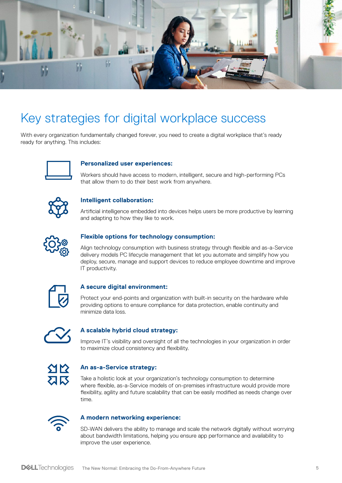<span id="page-4-0"></span>

# Key strategies for digital workplace success

With every organization fundamentally changed forever, you need to create a digital workplace that's ready ready for anything. This includes:



#### **Personalized user experiences:**

Workers should have access to modern, intelligent, secure and high-performing PCs that allow them to do their best work from anywhere.



## **Intelligent collaboration:**

Artificial intelligence embedded into devices helps users be more productive by learning and adapting to how they like to work.



### **Flexible options for technology consumption:**

Align technology consumption with business strategy through flexible and as-a-Service delivery models PC lifecycle management that let you automate and simplify how you deploy, secure, manage and support devices to reduce employee downtime and improve IT productivity.



#### **A secure digital environment:**

Protect your end-points and organization with built-in security on the hardware while providing options to ensure compliance for data protection, enable continuity and minimize data loss.



### **A scalable hybrid cloud strategy:**

Improve IT's visibility and oversight of all the technologies in your organization in order to maximize cloud consistency and flexibility.



### **An as-a-Service strategy:**

Take a holistic look at your organization's technology consumption to determine where flexible, as-a-Service models of on-premises infrastructure would provide more flexibility, agility and future scalability that can be easily modified as needs change over time.



#### **A modern networking experience:**

SD-WAN delivers the ability to manage and scale the network digitally without worrying about bandwidth limitations, helping you ensure app performance and availability to improve the user experience.